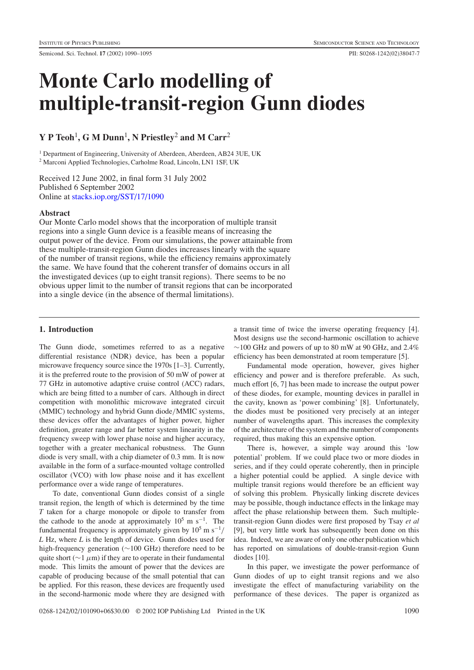# **Monte Carlo modelling of multiple-transit-region Gunn diodes**

# **Y P Teoh**1**,GMDunn**1**, N Priestley**<sup>2</sup> **and M Carr**<sup>2</sup>

<sup>1</sup> Department of Engineering, University of Aberdeen, Aberdeen, AB24 3UE, UK <sup>2</sup> Marconi Applied Technologies, Carholme Road, Lincoln, LN1 1SF, UK

Received 12 June 2002, in final form 31 July 2002 Published 6 September 2002 Online at [stacks.iop.org/SST/17/1090](stacks.iop.org/ss/17/1090)

# **Abstract**

Our Monte Carlo model shows that the incorporation of multiple transit regions into a single Gunn device is a feasible means of increasing the output power of the device. From our simulations, the power attainable from these multiple-transit-region Gunn diodes increases linearly with the square of the number of transit regions, while the efficiency remains approximately the same. We have found that the coherent transfer of domains occurs in all the investigated devices (up to eight transit regions). There seems to be no obvious upper limit to the number of transit regions that can be incorporated into a single device (in the absence of thermal limitations).

# **1. Introduction**

The Gunn diode, sometimes referred to as a negative differential resistance (NDR) device, has been a popular microwave frequency source since the 1970s [1–3]. Currently, it is the preferred route to the provision of 50 mW of power at 77 GHz in automotive adaptive cruise control (ACC) radars, which are being fitted to a number of cars. Although in direct competition with monolithic microwave integrated circuit (MMIC) technology and hybrid Gunn diode/MMIC systems, these devices offer the advantages of higher power, higher definition, greater range and far better system linearity in the frequency sweep with lower phase noise and higher accuracy, together with a greater mechanical robustness. The Gunn diode is very small, with a chip diameter of 0.3 mm. It is now available in the form of a surface-mounted voltage controlled oscillator (VCO) with low phase noise and it has excellent performance over a wide range of temperatures.

To date, conventional Gunn diodes consist of a single transit region, the length of which is determined by the time *T* taken for a charge monopole or dipole to transfer from the cathode to the anode at approximately  $10^5$  m s<sup>-1</sup>. The fundamental frequency is approximately given by  $10^5$  m s<sup>-1</sup>/ *L* Hz, where *L* is the length of device. Gunn diodes used for high-frequency generation (∼100 GHz) therefore need to be quite short ( $\sim$ 1  $\mu$ m) if they are to operate in their fundamental mode. This limits the amount of power that the devices are capable of producing because of the small potential that can be applied. For this reason, these devices are frequently used in the second-harmonic mode where they are designed with

a transit time of twice the inverse operating frequency [4]. Most designs use the second-harmonic oscillation to achieve  $\sim$ 100 GHz and powers of up to 80 mW at 90 GHz, and 2.4% efficiency has been demonstrated at room temperature [5].

Fundamental mode operation, however, gives higher efficiency and power and is therefore preferable. As such, much effort [6, 7] has been made to increase the output power of these diodes, for example, mounting devices in parallel in the cavity, known as 'power combining' [8]. Unfortunately, the diodes must be positioned very precisely at an integer number of wavelengths apart. This increases the complexity of the architecture of the system and the number of components required, thus making this an expensive option.

There is, however, a simple way around this 'low potential' problem. If we could place two or more diodes in series, and if they could operate coherently, then in principle a higher potential could be applied. A single device with multiple transit regions would therefore be an efficient way of solving this problem. Physically linking discrete devices may be possible, though inductance effects in the linkage may affect the phase relationship between them. Such multipletransit-region Gunn diodes were first proposed by Tsay *et al* [9], but very little work has subsequently been done on this idea. Indeed, we are aware of only one other publication which has reported on simulations of double-transit-region Gunn diodes [10].

In this paper, we investigate the power performance of Gunn diodes of up to eight transit regions and we also investigate the effect of manufacturing variability on the performance of these devices. The paper is organized as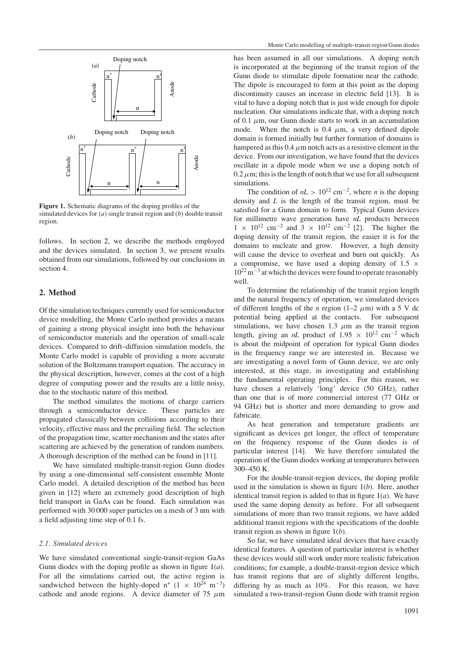

<span id="page-1-1"></span>**Figure 1.** Schematic diagrams of the doping profiles of the simulated devices for (*a*) single transit region and (*b*) double transit region.

follows. In section [2,](#page-1-0) we describe the methods employed and the devices simulated. In section [3,](#page-2-0) we present results obtained from our simulations, followed by our conclusions in section [4.](#page-5-0)

#### <span id="page-1-0"></span>**2. Method**

Of the simulation techniques currently used for semiconductor device modelling, the Monte Carlo method provides a means of gaining a strong physical insight into both the behaviour of semiconductor materials and the operation of small-scale devices. Compared to drift–diffusion simulation models, the Monte Carlo model is capable of providing a more accurate solution of the Boltzmann transport equation. The accuracy in the physical description, however, comes at the cost of a high degree of computing power and the results are a little noisy, due to the stochastic nature of this method.

The method simulates the motions of charge carriers through a semiconductor device. These particles are propagated classically between collisions according to their velocity, effective mass and the prevailing field. The selection of the propagation time, scatter mechanism and the states after scattering are achieved by the generation of random numbers. A thorough description of the method can be found in [11].

We have simulated multiple-transit-region Gunn diodes by using a one-dimensional self-consistent ensemble Monte Carlo model. A detailed description of the method has been given in [12] where an extremely good description of high field transport in GaAs can be found. Each simulation was performed with 30 000 super particles on a mesh of 3 nm with a field adjusting time step of 0.1 fs.

# *2.1. Simulated devices*

We have simulated conventional single-transit-region GaAs Gunn diodes with the doping profile as shown in figure [1\(](#page-1-1)*a*). For all the simulations carried out, the active region is sandwiched between the highly-doped n<sup>+</sup> (1 × 10<sup>24</sup> m<sup>-3</sup>) cathode and anode regions. A device diameter of 75  $\mu$ m has been assumed in all our simulations. A doping notch is incorporated at the beginning of the transit region of the Gunn diode to stimulate dipole formation near the cathode. The dipole is encouraged to form at this point as the doping discontinuity causes an increase in electric field [13]. It is vital to have a doping notch that is just wide enough for dipole nucleation. Our simulations indicate that, with a doping notch of 0.1  $\mu$ m, our Gunn diode starts to work in an accumulation mode. When the notch is 0.4  $\mu$ m, a very defined dipole domain is formed initially but further formation of domains is hampered as this  $0.4 \mu m$  notch acts as a resistive element in the device. From our investigation, we have found that the devices oscillate in a dipole mode when we use a doping notch of  $0.2 \mu$ m; this is the length of notch that we use for all subsequent simulations.

The condition of  $nL > 10^{12}$  cm<sup>-2</sup>, where *n* is the doping density and *L* is the length of the transit region, must be satisfied for a Gunn domain to form. Typical Gunn devices for millimetre wave generation have *nL* products between  $1 \times 10^{12}$  cm<sup>-2</sup> and  $3 \times 10^{12}$  cm<sup>-2</sup> [2]. The higher the doping density of the transit region, the easier it is for the domains to nucleate and grow. However, a high density will cause the device to overheat and burn out quickly. As a compromise, we have used a doping density of  $1.5 \times$  $10^{22}$  m<sup>-3</sup> at which the devices were found to operate reasonably well.

To determine the relationship of the transit region length and the natural frequency of operation, we simulated devices of different lengths of the *n* region (1–2  $\mu$ m) with a 5 V dc potential being applied at the contacts. For subsequent simulations, we have chosen 1.3  $\mu$ m as the transit region length, giving an *nL* product of  $1.95 \times 10^{12}$  cm<sup>-2</sup> which is about the midpoint of operation for typical Gunn diodes in the frequency range we are interested in. Because we are investigating a novel form of Gunn device, we are only interested, at this stage, in investigating and establishing the fundamental operating principles. For this reason, we have chosen a relatively 'long' device (50 GHz), rather than one that is of more commercial interest (77 GHz or 94 GHz) but is shorter and more demanding to grow and fabricate.

As heat generation and temperature gradients are significant as devices get longer, the effect of temperature on the frequency response of the Gunn diodes is of particular interest [14]. We have therefore simulated the operation of the Gunn diodes working at temperatures between 300–450 K.

For the double-transit-region devices, the doping profile used in the simulation is shown in figure [1\(](#page-1-1)*b*). Here, another identical transit region is added to that in figure [1\(](#page-1-1)*a*). We have used the same doping density as before. For all subsequent simulations of more than two transit regions, we have added additional transit regions with the specifications of the double transit region as shown in figure [1\(](#page-1-1)*b*).

So far, we have simulated ideal devices that have exactly identical features. A question of particular interest is whether these devices would still work under more realistic fabrication conditions; for example, a double-transit-region device which has transit regions that are of slightly different lengths, differing by as much as 10%. For this reason, we have simulated a two-transit-region Gunn diode with transit region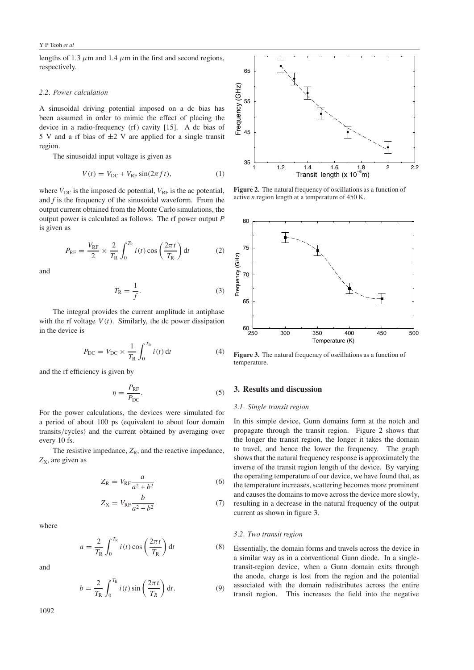lengths of 1.3  $\mu$ m and 1.4  $\mu$ m in the first and second regions, respectively.

#### *2.2. Power calculation*

A sinusoidal driving potential imposed on a dc bias has been assumed in order to mimic the effect of placing the device in a radio-frequency (rf) cavity [15]. A dc bias of 5 V and a rf bias of  $\pm$ 2 V are applied for a single transit region.

The sinusoidal input voltage is given as

$$
V(t) = V_{\rm DC} + V_{\rm RF} \sin(2\pi f t),\tag{1}
$$

where  $V_{DC}$  is the imposed dc potential,  $V_{RF}$  is the ac potential, and *f* is the frequency of the sinusoidal waveform. From the output current obtained from the Monte Carlo simulations, the output power is calculated as follows. The rf power output *P* is given as

$$
P_{\rm RF} = \frac{V_{\rm RF}}{2} \times \frac{2}{T_{\rm R}} \int_0^{T_{\rm R}} i(t) \cos\left(\frac{2\pi t}{T_{\rm R}}\right) dt
$$
 (2)

and

$$
T_{\rm R} = \frac{1}{f}.\tag{3}
$$

The integral provides the current amplitude in antiphase with the rf voltage  $V(t)$ . Similarly, the dc power dissipation in the device is

$$
P_{\rm DC} = V_{\rm DC} \times \frac{1}{T_{\rm R}} \int_0^{T_{\rm R}} i(t) \, \mathrm{d}t \tag{4}
$$

and the rf efficiency is given by

$$
\eta = \frac{P_{\rm RF}}{P_{\rm DC}}.\tag{5}
$$

For the power calculations, the devices were simulated for a period of about 100 ps (equivalent to about four domain transits/cycles) and the current obtained by averaging over every 10 fs.

The resistive impedance,  $Z_R$ , and the reactive impedance, Z<sub>X</sub>, are given as

$$
Z_{\rm R} = V_{\rm RF} \frac{a}{a^2 + b^2} \tag{6}
$$

$$
Z_X = V_{\text{RF}} \frac{b}{a^2 + b^2} \tag{7}
$$

where

$$
a = \frac{2}{T_{\rm R}} \int_0^{T_{\rm R}} i(t) \cos\left(\frac{2\pi t}{T_{\rm R}}\right) dt
$$
 (8)

and

$$
b = \frac{2}{T_{\rm R}} \int_0^{T_{\rm R}} i(t) \sin\left(\frac{2\pi t}{T_R}\right) \mathrm{d}t. \tag{9}
$$

1092



<span id="page-2-1"></span>**Figure 2.** The natural frequency of oscillations as a function of active *n* region length at a temperature of 450 K.



<span id="page-2-2"></span>**Figure 3.** The natural frequency of oscillations as a function of temperature.

# <span id="page-2-0"></span>**3. Results and discussion**

#### *3.1. Single transit region*

In this simple device, Gunn domains form at the notch and propagate through the transit region. Figure [2](#page-2-1) shows that the longer the transit region, the longer it takes the domain to travel, and hence the lower the frequency. The graph shows that the natural frequency response is approximately the inverse of the transit region length of the device. By varying the operating temperature of our device, we have found that, as the temperature increases, scattering becomes more prominent and causes the domains to move across the device more slowly, resulting in a decrease in the natural frequency of the output current as shown in figure [3.](#page-2-2)

#### *3.2. Two transit region*

Essentially, the domain forms and travels across the device in a similar way as in a conventional Gunn diode. In a singletransit-region device, when a Gunn domain exits through the anode, charge is lost from the region and the potential associated with the domain redistributes across the entire transit region. This increases the field into the negative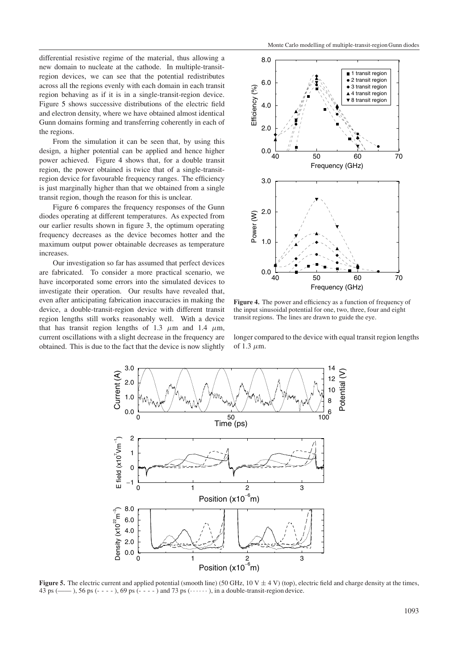differential resistive regime of the material, thus allowing a new domain to nucleate at the cathode. In multiple-transitregion devices, we can see that the potential redistributes across all the regions evenly with each domain in each transit region behaving as if it is in a single-transit-region device. Figure [5](#page-3-0) shows successive distributions of the electric field and electron density, where we have obtained almost identical Gunn domains forming and transferring coherently in each of the regions.

From the simulation it can be seen that, by using this design, a higher potential can be applied and hence higher power achieved. Figure [4](#page-3-1) shows that, for a double transit region, the power obtained is twice that of a single-transitregion device for favourable frequency ranges. The efficiency is just marginally higher than that we obtained from a single transit region, though the reason for this is unclear.

Figure [6](#page-4-0) compares the frequency responses of the Gunn diodes operating at different temperatures. As expected from our earlier results shown in figure [3,](#page-2-2) the optimum operating frequency decreases as the device becomes hotter and the maximum output power obtainable decreases as temperature increases.

Our investigation so far has assumed that perfect devices are fabricated. To consider a more practical scenario, we have incorporated some errors into the simulated devices to investigate their operation. Our results have revealed that, even after anticipating fabrication inaccuracies in making the device, a double-transit-region device with different transit region lengths still works reasonably well. With a device that has transit region lengths of 1.3  $\mu$ m and 1.4  $\mu$ m, current oscillations with a slight decrease in the frequency are obtained. This is due to the fact that the device is now slightly



<span id="page-3-1"></span>**Figure 4.** The power and efficiency as a function of frequency of the input sinusoidal potential for one, two, three, four and eight transit regions. The lines are drawn to guide the eye.

longer compared to the device with equal transit region lengths of 1.3  $\mu$ m.



<span id="page-3-0"></span>**Figure 5.** The electric current and applied potential (smooth line) (50 GHz,  $10 \text{ V} \pm 4 \text{ V}$ ) (top), electric field and charge density at the times, 43 ps ( $\rightarrow$ ), 56 ps (- - - - ), 69 ps (- - - - ) and 73 ps ( $\cdots$ ), in a double-transit-region device.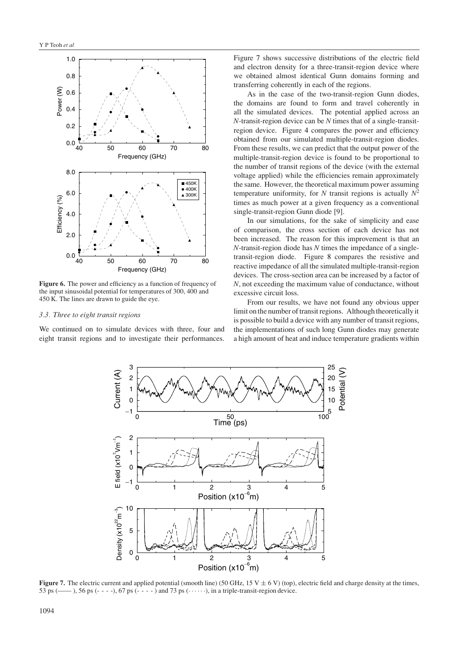

<span id="page-4-0"></span>**Figure 6.** The power and efficiency as a function of frequency of the input sinusoidal potential for temperatures of 300, 400 and 450 K. The lines are drawn to guide the eye.

### *3.3. Three to eight transit regions*

We continued on to simulate devices with three, four and eight transit regions and to investigate their performances.

Figure [7](#page-4-1) shows successive distributions of the electric field and electron density for a three-transit-region device where we obtained almost identical Gunn domains forming and transferring coherently in each of the regions.

As in the case of the two-transit-region Gunn diodes, the domains are found to form and travel coherently in all the simulated devices. The potential applied across an *N*-transit-region device can be *N* times that of a single-transitregion device. Figure [4](#page-3-1) compares the power and efficiency obtained from our simulated multiple-transit-region diodes. From these results, we can predict that the output power of the multiple-transit-region device is found to be proportional to the number of transit regions of the device (with the external voltage applied) while the efficiencies remain approximately the same. However, the theoretical maximum power assuming temperature uniformity, for *N* transit regions is actually  $N^2$ times as much power at a given frequency as a conventional single-transit-region Gunn diode [9].

In our simulations, for the sake of simplicity and ease of comparison, the cross section of each device has not been increased. The reason for this improvement is that an *N*-transit-region diode has *N* times the impedance of a singletransit-region diode. Figure [8](#page-5-1) compares the resistive and reactive impedance of all the simulated multiple-transit-region devices. The cross-section area can be increased by a factor of *N*, not exceeding the maximum value of conductance, without excessive circuit loss.

From our results, we have not found any obvious upper limit on the number of transit regions. Although theoretically it is possible to build a device with any number of transit regions, the implementations of such long Gunn diodes may generate a high amount of heat and induce temperature gradients within



<span id="page-4-1"></span>**Figure 7.** The electric current and applied potential (smooth line) (50 GHz, 15 V  $\pm$  6 V) (top), electric field and charge density at the times, 53 ps ( $\rightarrow$  ), 56 ps ( $\rightarrow$  -  $\rightarrow$ ), 67 ps ( $\rightarrow$  -  $\rightarrow$ ) and 73 ps ( $\rightarrow$   $\cdots$ ), in a triple-transit-region device.